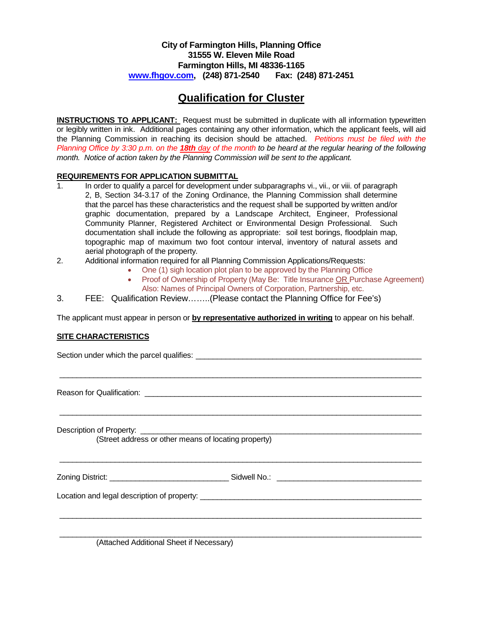## **City of Farmington Hills, Planning Office 31555 W. Eleven Mile Road Farmington Hills, MI 48336-1165 [www.fhgov.com,](http://www.fhgov.com/) (248) 871-2540 Fax: (248) 871-2451**

## **Qualification for Cluster**

**INSTRUCTIONS TO APPLICANT:** Request must be submitted in duplicate with all information typewritten or legibly written in ink. Additional pages containing any other information, which the applicant feels, will aid the Planning Commission in reaching its decision should be attached. *Petitions must be filed with the Planning Office by 3:30 p.m. on the 18th day of the month to be heard at the regular hearing of the following month. Notice of action taken by the Planning Commission will be sent to the applicant.*

## **REQUIREMENTS FOR APPLICATION SUBMITTAL**

- 1. In order to qualify a parcel for development under subparagraphs vi., vii., or viii. of paragraph 2, B, Section 34-3.17 of the Zoning Ordinance, the Planning Commission shall determine that the parcel has these characteristics and the request shall be supported by written and/or graphic documentation, prepared by a Landscape Architect, Engineer, Professional Community Planner, Registered Architect or Environmental Design Professional. Such documentation shall include the following as appropriate: soil test borings, floodplain map, topographic map of maximum two foot contour interval, inventory of natural assets and aerial photograph of the property.
- 2. Additional information required for all Planning Commission Applications/Requests:
	- One (1) sigh location plot plan to be approved by the Planning Office
	- Proof of Ownership of Property (May Be: Title Insurance OR Purchase Agreement) Also: Names of Principal Owners of Corporation, Partnership, etc.
- 3. FEE: Qualification Review……..(Please contact the Planning Office for Fee's)

The applicant must appear in person or **by representative authorized in writing** to appear on his behalf.

\_\_\_\_\_\_\_\_\_\_\_\_\_\_\_\_\_\_\_\_\_\_\_\_\_\_\_\_\_\_\_\_\_\_\_\_\_\_\_\_\_\_\_\_\_\_\_\_\_\_\_\_\_\_\_\_\_\_\_\_\_\_\_\_\_\_\_\_\_\_\_\_\_\_\_\_\_\_\_\_\_\_\_\_\_

\_\_\_\_\_\_\_\_\_\_\_\_\_\_\_\_\_\_\_\_\_\_\_\_\_\_\_\_\_\_\_\_\_\_\_\_\_\_\_\_\_\_\_\_\_\_\_\_\_\_\_\_\_\_\_\_\_\_\_\_\_\_\_\_\_\_\_\_\_\_\_\_\_\_\_\_\_\_\_\_\_\_\_\_\_

\_\_\_\_\_\_\_\_\_\_\_\_\_\_\_\_\_\_\_\_\_\_\_\_\_\_\_\_\_\_\_\_\_\_\_\_\_\_\_\_\_\_\_\_\_\_\_\_\_\_\_\_\_\_\_\_\_\_\_\_\_\_\_\_\_\_\_\_\_\_\_\_\_\_\_\_\_\_\_\_\_\_\_\_\_

\_\_\_\_\_\_\_\_\_\_\_\_\_\_\_\_\_\_\_\_\_\_\_\_\_\_\_\_\_\_\_\_\_\_\_\_\_\_\_\_\_\_\_\_\_\_\_\_\_\_\_\_\_\_\_\_\_\_\_\_\_\_\_\_\_\_\_\_\_\_\_\_\_\_\_\_\_\_\_\_\_\_\_\_\_

\_\_\_\_\_\_\_\_\_\_\_\_\_\_\_\_\_\_\_\_\_\_\_\_\_\_\_\_\_\_\_\_\_\_\_\_\_\_\_\_\_\_\_\_\_\_\_\_\_\_\_\_\_\_\_\_\_\_\_\_\_\_\_\_\_\_\_\_\_\_\_\_\_\_\_\_\_\_\_\_\_\_\_\_\_

## **SITE CHARACTERISTICS**

Section under which the parcel qualifies: \_\_\_\_\_\_\_\_\_\_\_\_\_\_\_\_\_\_\_\_\_\_\_\_\_\_\_\_\_\_\_\_\_\_\_\_\_\_\_\_\_\_\_\_\_\_\_\_\_\_\_\_\_

Reason for Qualification: **Example 2018** 

Description of Property:

(Street address or other means of locating property)

Zoning District: \_\_\_\_\_\_\_\_\_\_\_\_\_\_\_\_\_\_\_\_\_\_\_\_\_\_\_\_ Sidwell No.: \_\_\_\_\_\_\_\_\_\_\_\_\_\_\_\_\_\_\_\_\_\_\_\_\_\_\_\_\_\_\_\_\_\_

Location and legal description of property:

(Attached Additional Sheet if Necessary)